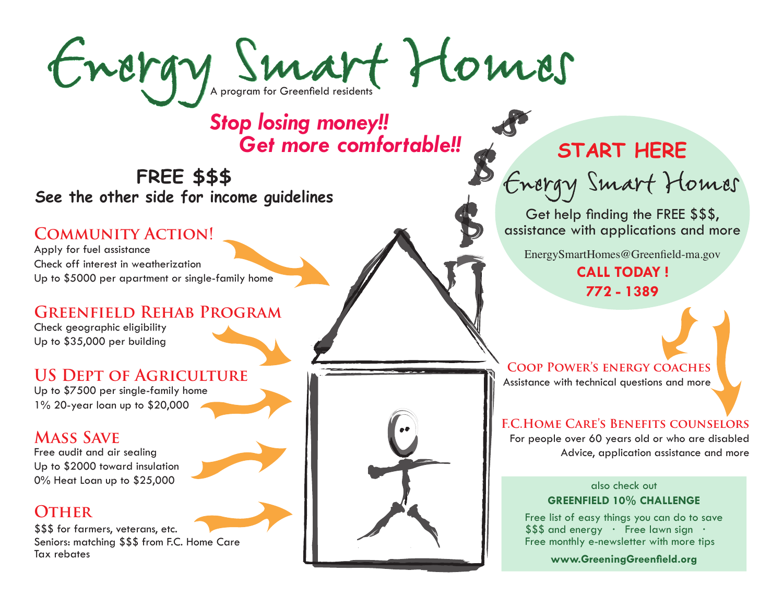

### *Get more comfortable!! Stop losing money!!*

**FREE \$\$\$ See the other side for income guidelines**

### **COMMUNITY ACTION!**

Apply for fuel assistance Check off interest in weatherization Up to \$5000 per apartment or single-family home

### **Greenfield Rehab Program**

Check geographic eligibility Up to \$35,000 per building

### **US Dept of Agriculture**

Up to \$7500 per single-family home 1% 20-year loan up to \$20,000

### **Mass Save**

Free audit and air sealing Up to \$2000 toward insulation 0% Heat Loan up to \$25,000

### **OTHER**

\$\$\$ for farmers, veterans, etc. Seniors: matching \$\$\$ from F.C. Home Care Tax rebates



### **START HERE**

Energy Smart Homes

Get help finding the FREE \$\$\$, assistance with applications and more

EnergySmartHomes@Greenfield-ma.gov

**CALL TODAY ! 772 - 1389**

**Coop Power's energy coaches**  Assistance with technical questions and more

### **F.C.Home Care's Benefits counselors**

For people over 60 years old or who are disabled Advice, application assistance and more

### **GREENFIELD 10% CHALLENGE** also check out

Free list of easy things you can do to save \$\$\$ and energy · Free lawn sign · Free monthly e-newsletter with more tips

**www.GreeningGreenfield.org**